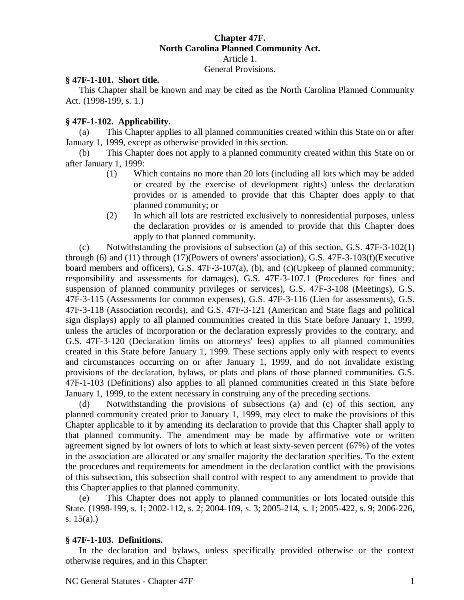## **Chapter 47F. North Carolina Planned Community Act.** Article 1. General Provisions.

## **§ 47F-1-101. Short title.**

This Chapter shall be known and may be cited as the North Carolina Planned Community Act. (1998-199, s. 1.)

## **§ 47F-1-102. Applicability.**

(a) This Chapter applies to all planned communities created within this State on or after January 1, 1999, except as otherwise provided in this section.

(b) This Chapter does not apply to a planned community created within this State on or after January 1, 1999:

- (1) Which contains no more than 20 lots (including all lots which may be added or created by the exercise of development rights) unless the declaration provides or is amended to provide that this Chapter does apply to that planned community; or
- (2) In which all lots are restricted exclusively to nonresidential purposes, unless the declaration provides or is amended to provide that this Chapter does apply to that planned community.

(c) Notwithstanding the provisions of subsection (a) of this section, G.S. 47F-3-102(1) through (6) and (11) through (17)(Powers of owners' association), G.S. 47F-3-103(f)(Executive board members and officers), G.S. 47F-3-107(a), (b), and (c)(Upkeep of planned community; responsibility and assessments for damages), G.S. 47F-3-107.1 (Procedures for fines and suspension of planned community privileges or services), G.S. 47F-3-108 (Meetings), G.S. 47F-3-115 (Assessments for common expenses), G.S. 47F-3-116 (Lien for assessments), G.S. 47F-3-118 (Association records), and G.S. 47F-3-121 (American and State flags and political sign displays) apply to all planned communities created in this State before January 1, 1999, unless the articles of incorporation or the declaration expressly provides to the contrary, and G.S. 47F-3-120 (Declaration limits on attorneys' fees) applies to all planned communities created in this State before January 1, 1999. These sections apply only with respect to events and circumstances occurring on or after January 1, 1999, and do not invalidate existing provisions of the declaration, bylaws, or plats and plans of those planned communities. G.S. 47F-1-103 (Definitions) also applies to all planned communities created in this State before January 1, 1999, to the extent necessary in construing any of the preceding sections.

(d) Notwithstanding the provisions of subsections (a) and (c) of this section, any planned community created prior to January 1, 1999, may elect to make the provisions of this Chapter applicable to it by amending its declaration to provide that this Chapter shall apply to that planned community. The amendment may be made by affirmative vote or written agreement signed by lot owners of lots to which at least sixty-seven percent (67%) of the votes in the association are allocated or any smaller majority the declaration specifies. To the extent the procedures and requirements for amendment in the declaration conflict with the provisions of this subsection, this subsection shall control with respect to any amendment to provide that this Chapter applies to that planned community.

(e) This Chapter does not apply to planned communities or lots located outside this State. (1998-199, s. 1; 2002-112, s. 2; 2004-109, s. 3; 2005-214, s. 1; 2005-422, s. 9; 2006-226, s. 15(a).)

# **§ 47F-1-103. Definitions.**

In the declaration and bylaws, unless specifically provided otherwise or the context otherwise requires, and in this Chapter: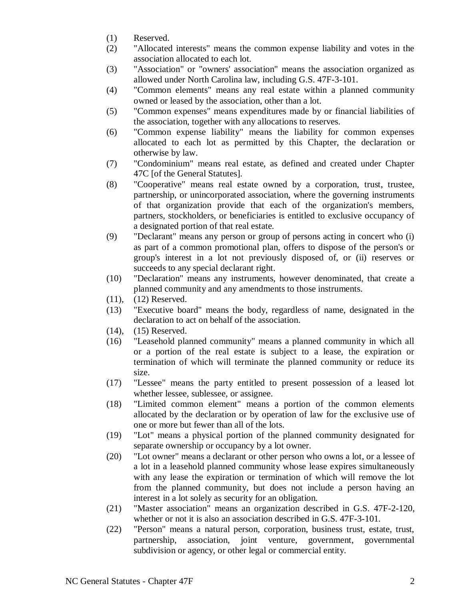- (1) Reserved.
- (2) "Allocated interests" means the common expense liability and votes in the association allocated to each lot.
- (3) "Association" or "owners' association" means the association organized as allowed under North Carolina law, including G.S. 47F-3-101.
- (4) "Common elements" means any real estate within a planned community owned or leased by the association, other than a lot.
- (5) "Common expenses" means expenditures made by or financial liabilities of the association, together with any allocations to reserves.
- (6) "Common expense liability" means the liability for common expenses allocated to each lot as permitted by this Chapter, the declaration or otherwise by law.
- (7) "Condominium" means real estate, as defined and created under Chapter 47C [of the General Statutes].
- (8) "Cooperative" means real estate owned by a corporation, trust, trustee, partnership, or unincorporated association, where the governing instruments of that organization provide that each of the organization's members, partners, stockholders, or beneficiaries is entitled to exclusive occupancy of a designated portion of that real estate.
- (9) "Declarant" means any person or group of persons acting in concert who (i) as part of a common promotional plan, offers to dispose of the person's or group's interest in a lot not previously disposed of, or (ii) reserves or succeeds to any special declarant right.
- (10) "Declaration" means any instruments, however denominated, that create a planned community and any amendments to those instruments.
- (11), (12) Reserved.
- (13) "Executive board" means the body, regardless of name, designated in the declaration to act on behalf of the association.
- (14), (15) Reserved.
- (16) "Leasehold planned community" means a planned community in which all or a portion of the real estate is subject to a lease, the expiration or termination of which will terminate the planned community or reduce its size.
- (17) "Lessee" means the party entitled to present possession of a leased lot whether lessee, sublessee, or assignee.
- (18) "Limited common element" means a portion of the common elements allocated by the declaration or by operation of law for the exclusive use of one or more but fewer than all of the lots.
- (19) "Lot" means a physical portion of the planned community designated for separate ownership or occupancy by a lot owner.
- (20) "Lot owner" means a declarant or other person who owns a lot, or a lessee of a lot in a leasehold planned community whose lease expires simultaneously with any lease the expiration or termination of which will remove the lot from the planned community, but does not include a person having an interest in a lot solely as security for an obligation.
- (21) "Master association" means an organization described in G.S. 47F-2-120, whether or not it is also an association described in G.S. 47F-3-101.
- (22) "Person" means a natural person, corporation, business trust, estate, trust, partnership, association, joint venture, government, governmental subdivision or agency, or other legal or commercial entity.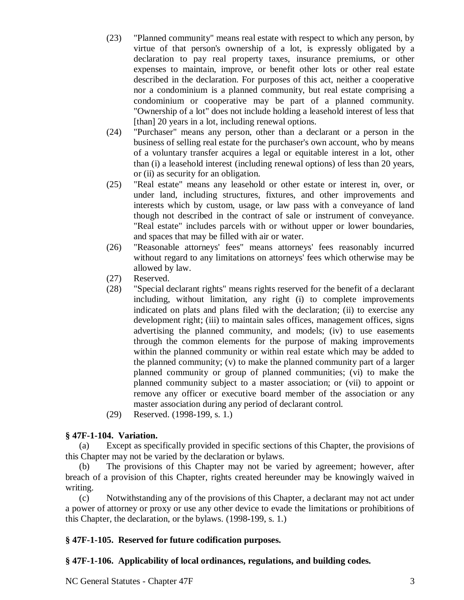- (23) "Planned community" means real estate with respect to which any person, by virtue of that person's ownership of a lot, is expressly obligated by a declaration to pay real property taxes, insurance premiums, or other expenses to maintain, improve, or benefit other lots or other real estate described in the declaration. For purposes of this act, neither a cooperative nor a condominium is a planned community, but real estate comprising a condominium or cooperative may be part of a planned community. "Ownership of a lot" does not include holding a leasehold interest of less that [than] 20 years in a lot, including renewal options.
- (24) "Purchaser" means any person, other than a declarant or a person in the business of selling real estate for the purchaser's own account, who by means of a voluntary transfer acquires a legal or equitable interest in a lot, other than (i) a leasehold interest (including renewal options) of less than 20 years, or (ii) as security for an obligation.
- (25) "Real estate" means any leasehold or other estate or interest in, over, or under land, including structures, fixtures, and other improvements and interests which by custom, usage, or law pass with a conveyance of land though not described in the contract of sale or instrument of conveyance. "Real estate" includes parcels with or without upper or lower boundaries, and spaces that may be filled with air or water.
- (26) "Reasonable attorneys' fees" means attorneys' fees reasonably incurred without regard to any limitations on attorneys' fees which otherwise may be allowed by law.
- (27) Reserved.
- (28) "Special declarant rights" means rights reserved for the benefit of a declarant including, without limitation, any right (i) to complete improvements indicated on plats and plans filed with the declaration; (ii) to exercise any development right; (iii) to maintain sales offices, management offices, signs advertising the planned community, and models; (iv) to use easements through the common elements for the purpose of making improvements within the planned community or within real estate which may be added to the planned community; (v) to make the planned community part of a larger planned community or group of planned communities; (vi) to make the planned community subject to a master association; or (vii) to appoint or remove any officer or executive board member of the association or any master association during any period of declarant control.
- (29) Reserved. (1998-199, s. 1.)

## **§ 47F-1-104. Variation.**

(a) Except as specifically provided in specific sections of this Chapter, the provisions of this Chapter may not be varied by the declaration or bylaws.

(b) The provisions of this Chapter may not be varied by agreement; however, after breach of a provision of this Chapter, rights created hereunder may be knowingly waived in writing.

(c) Notwithstanding any of the provisions of this Chapter, a declarant may not act under a power of attorney or proxy or use any other device to evade the limitations or prohibitions of this Chapter, the declaration, or the bylaws. (1998-199, s. 1.)

# **§ 47F-1-105. Reserved for future codification purposes.**

# **§ 47F-1-106. Applicability of local ordinances, regulations, and building codes.**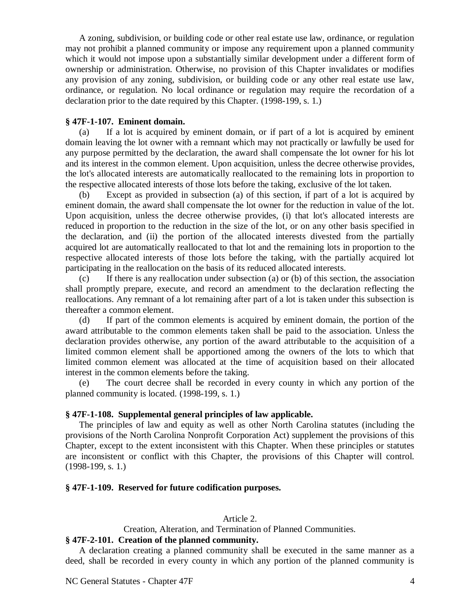A zoning, subdivision, or building code or other real estate use law, ordinance, or regulation may not prohibit a planned community or impose any requirement upon a planned community which it would not impose upon a substantially similar development under a different form of ownership or administration. Otherwise, no provision of this Chapter invalidates or modifies any provision of any zoning, subdivision, or building code or any other real estate use law, ordinance, or regulation. No local ordinance or regulation may require the recordation of a declaration prior to the date required by this Chapter. (1998-199, s. 1.)

### **§ 47F-1-107. Eminent domain.**

(a) If a lot is acquired by eminent domain, or if part of a lot is acquired by eminent domain leaving the lot owner with a remnant which may not practically or lawfully be used for any purpose permitted by the declaration, the award shall compensate the lot owner for his lot and its interest in the common element. Upon acquisition, unless the decree otherwise provides, the lot's allocated interests are automatically reallocated to the remaining lots in proportion to the respective allocated interests of those lots before the taking, exclusive of the lot taken.

(b) Except as provided in subsection (a) of this section, if part of a lot is acquired by eminent domain, the award shall compensate the lot owner for the reduction in value of the lot. Upon acquisition, unless the decree otherwise provides, (i) that lot's allocated interests are reduced in proportion to the reduction in the size of the lot, or on any other basis specified in the declaration, and (ii) the portion of the allocated interests divested from the partially acquired lot are automatically reallocated to that lot and the remaining lots in proportion to the respective allocated interests of those lots before the taking, with the partially acquired lot participating in the reallocation on the basis of its reduced allocated interests.

(c) If there is any reallocation under subsection (a) or (b) of this section, the association shall promptly prepare, execute, and record an amendment to the declaration reflecting the reallocations. Any remnant of a lot remaining after part of a lot is taken under this subsection is thereafter a common element.

(d) If part of the common elements is acquired by eminent domain, the portion of the award attributable to the common elements taken shall be paid to the association. Unless the declaration provides otherwise, any portion of the award attributable to the acquisition of a limited common element shall be apportioned among the owners of the lots to which that limited common element was allocated at the time of acquisition based on their allocated interest in the common elements before the taking.

(e) The court decree shall be recorded in every county in which any portion of the planned community is located. (1998-199, s. 1.)

## **§ 47F-1-108. Supplemental general principles of law applicable.**

The principles of law and equity as well as other North Carolina statutes (including the provisions of the North Carolina Nonprofit Corporation Act) supplement the provisions of this Chapter, except to the extent inconsistent with this Chapter. When these principles or statutes are inconsistent or conflict with this Chapter, the provisions of this Chapter will control. (1998-199, s. 1.)

### **§ 47F-1-109. Reserved for future codification purposes.**

### Article 2.

Creation, Alteration, and Termination of Planned Communities.

### **§ 47F-2-101. Creation of the planned community.**

A declaration creating a planned community shall be executed in the same manner as a deed, shall be recorded in every county in which any portion of the planned community is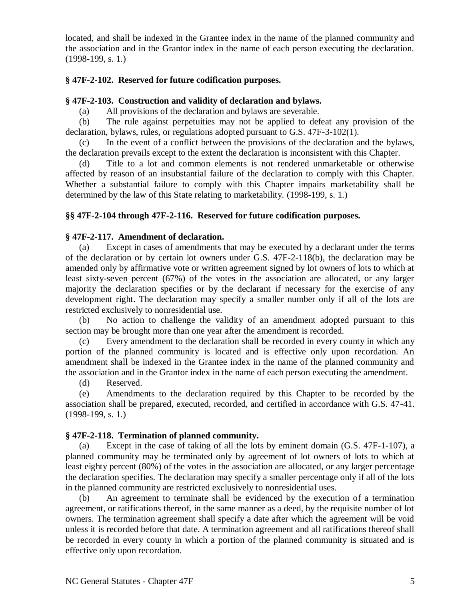located, and shall be indexed in the Grantee index in the name of the planned community and the association and in the Grantor index in the name of each person executing the declaration. (1998-199, s. 1.)

## **§ 47F-2-102. Reserved for future codification purposes.**

### **§ 47F-2-103. Construction and validity of declaration and bylaws.**

(a) All provisions of the declaration and bylaws are severable.

(b) The rule against perpetuities may not be applied to defeat any provision of the declaration, bylaws, rules, or regulations adopted pursuant to G.S. 47F-3-102(1).

(c) In the event of a conflict between the provisions of the declaration and the bylaws, the declaration prevails except to the extent the declaration is inconsistent with this Chapter.

(d) Title to a lot and common elements is not rendered unmarketable or otherwise affected by reason of an insubstantial failure of the declaration to comply with this Chapter. Whether a substantial failure to comply with this Chapter impairs marketability shall be determined by the law of this State relating to marketability. (1998-199, s. 1.)

## **§§ 47F-2-104 through 47F-2-116. Reserved for future codification purposes.**

### **§ 47F-2-117. Amendment of declaration.**

(a) Except in cases of amendments that may be executed by a declarant under the terms of the declaration or by certain lot owners under G.S. 47F-2-118(b), the declaration may be amended only by affirmative vote or written agreement signed by lot owners of lots to which at least sixty-seven percent (67%) of the votes in the association are allocated, or any larger majority the declaration specifies or by the declarant if necessary for the exercise of any development right. The declaration may specify a smaller number only if all of the lots are restricted exclusively to nonresidential use.

(b) No action to challenge the validity of an amendment adopted pursuant to this section may be brought more than one year after the amendment is recorded.

(c) Every amendment to the declaration shall be recorded in every county in which any portion of the planned community is located and is effective only upon recordation. An amendment shall be indexed in the Grantee index in the name of the planned community and the association and in the Grantor index in the name of each person executing the amendment.

(d) Reserved.

(e) Amendments to the declaration required by this Chapter to be recorded by the association shall be prepared, executed, recorded, and certified in accordance with G.S. 47-41. (1998-199, s. 1.)

## **§ 47F-2-118. Termination of planned community.**

(a) Except in the case of taking of all the lots by eminent domain (G.S. 47F-1-107), a planned community may be terminated only by agreement of lot owners of lots to which at least eighty percent (80%) of the votes in the association are allocated, or any larger percentage the declaration specifies. The declaration may specify a smaller percentage only if all of the lots in the planned community are restricted exclusively to nonresidential uses.

(b) An agreement to terminate shall be evidenced by the execution of a termination agreement, or ratifications thereof, in the same manner as a deed, by the requisite number of lot owners. The termination agreement shall specify a date after which the agreement will be void unless it is recorded before that date. A termination agreement and all ratifications thereof shall be recorded in every county in which a portion of the planned community is situated and is effective only upon recordation.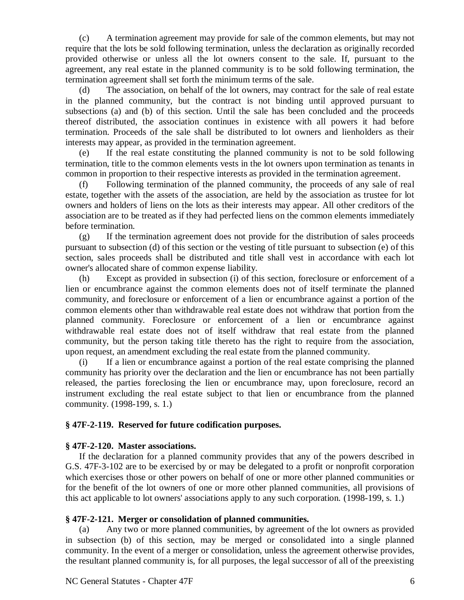(c) A termination agreement may provide for sale of the common elements, but may not require that the lots be sold following termination, unless the declaration as originally recorded provided otherwise or unless all the lot owners consent to the sale. If, pursuant to the agreement, any real estate in the planned community is to be sold following termination, the termination agreement shall set forth the minimum terms of the sale.

(d) The association, on behalf of the lot owners, may contract for the sale of real estate in the planned community, but the contract is not binding until approved pursuant to subsections (a) and (b) of this section. Until the sale has been concluded and the proceeds thereof distributed, the association continues in existence with all powers it had before termination. Proceeds of the sale shall be distributed to lot owners and lienholders as their interests may appear, as provided in the termination agreement.

(e) If the real estate constituting the planned community is not to be sold following termination, title to the common elements vests in the lot owners upon termination as tenants in common in proportion to their respective interests as provided in the termination agreement.

(f) Following termination of the planned community, the proceeds of any sale of real estate, together with the assets of the association, are held by the association as trustee for lot owners and holders of liens on the lots as their interests may appear. All other creditors of the association are to be treated as if they had perfected liens on the common elements immediately before termination.

(g) If the termination agreement does not provide for the distribution of sales proceeds pursuant to subsection (d) of this section or the vesting of title pursuant to subsection (e) of this section, sales proceeds shall be distributed and title shall vest in accordance with each lot owner's allocated share of common expense liability.

(h) Except as provided in subsection (i) of this section, foreclosure or enforcement of a lien or encumbrance against the common elements does not of itself terminate the planned community, and foreclosure or enforcement of a lien or encumbrance against a portion of the common elements other than withdrawable real estate does not withdraw that portion from the planned community. Foreclosure or enforcement of a lien or encumbrance against withdrawable real estate does not of itself withdraw that real estate from the planned community, but the person taking title thereto has the right to require from the association, upon request, an amendment excluding the real estate from the planned community.

If a lien or encumbrance against a portion of the real estate comprising the planned community has priority over the declaration and the lien or encumbrance has not been partially released, the parties foreclosing the lien or encumbrance may, upon foreclosure, record an instrument excluding the real estate subject to that lien or encumbrance from the planned community. (1998-199, s. 1.)

## **§ 47F-2-119. Reserved for future codification purposes.**

## **§ 47F-2-120. Master associations.**

If the declaration for a planned community provides that any of the powers described in G.S. 47F-3-102 are to be exercised by or may be delegated to a profit or nonprofit corporation which exercises those or other powers on behalf of one or more other planned communities or for the benefit of the lot owners of one or more other planned communities, all provisions of this act applicable to lot owners' associations apply to any such corporation. (1998-199, s. 1.)

## **§ 47F-2-121. Merger or consolidation of planned communities.**

(a) Any two or more planned communities, by agreement of the lot owners as provided in subsection (b) of this section, may be merged or consolidated into a single planned community. In the event of a merger or consolidation, unless the agreement otherwise provides, the resultant planned community is, for all purposes, the legal successor of all of the preexisting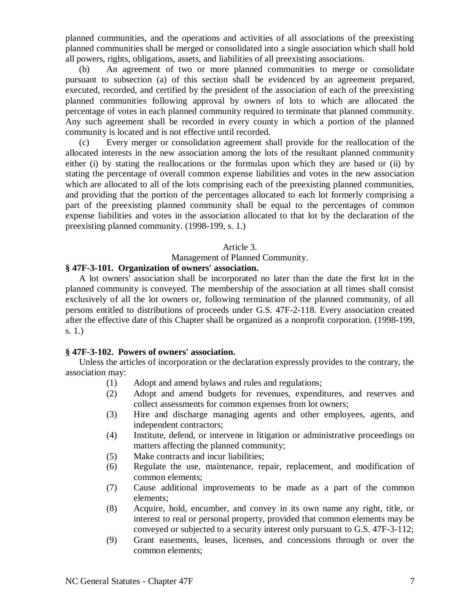planned communities, and the operations and activities of all associations of the preexisting planned communities shall be merged or consolidated into a single association which shall hold all powers, rights, obligations, assets, and liabilities of all preexisting associations.

(b) An agreement of two or more planned communities to merge or consolidate pursuant to subsection (a) of this section shall be evidenced by an agreement prepared, executed, recorded, and certified by the president of the association of each of the preexisting planned communities following approval by owners of lots to which are allocated the percentage of votes in each planned community required to terminate that planned community. Any such agreement shall be recorded in every county in which a portion of the planned community is located and is not effective until recorded.

(c) Every merger or consolidation agreement shall provide for the reallocation of the allocated interests in the new association among the lots of the resultant planned community either (i) by stating the reallocations or the formulas upon which they are based or (ii) by stating the percentage of overall common expense liabilities and votes in the new association which are allocated to all of the lots comprising each of the preexisting planned communities, and providing that the portion of the percentages allocated to each lot formerly comprising a part of the preexisting planned community shall be equal to the percentages of common expense liabilities and votes in the association allocated to that lot by the declaration of the preexisting planned community. (1998-199, s. 1.)

### Article 3.

Management of Planned Community.

# **§ 47F-3-101. Organization of owners' association.**

A lot owners' association shall be incorporated no later than the date the first lot in the planned community is conveyed. The membership of the association at all times shall consist exclusively of all the lot owners or, following termination of the planned community, of all persons entitled to distributions of proceeds under G.S. 47F-2-118. Every association created after the effective date of this Chapter shall be organized as a nonprofit corporation. (1998-199, s. 1.)

### **§ 47F-3-102. Powers of owners' association.**

Unless the articles of incorporation or the declaration expressly provides to the contrary, the association may:

- (1) Adopt and amend bylaws and rules and regulations;
- (2) Adopt and amend budgets for revenues, expenditures, and reserves and collect assessments for common expenses from lot owners;
- (3) Hire and discharge managing agents and other employees, agents, and independent contractors;
- (4) Institute, defend, or intervene in litigation or administrative proceedings on matters affecting the planned community;
- (5) Make contracts and incur liabilities;
- (6) Regulate the use, maintenance, repair, replacement, and modification of common elements;
- (7) Cause additional improvements to be made as a part of the common elements;
- (8) Acquire, hold, encumber, and convey in its own name any right, title, or interest to real or personal property, provided that common elements may be conveyed or subjected to a security interest only pursuant to G.S. 47F-3-112;
- (9) Grant easements, leases, licenses, and concessions through or over the common elements;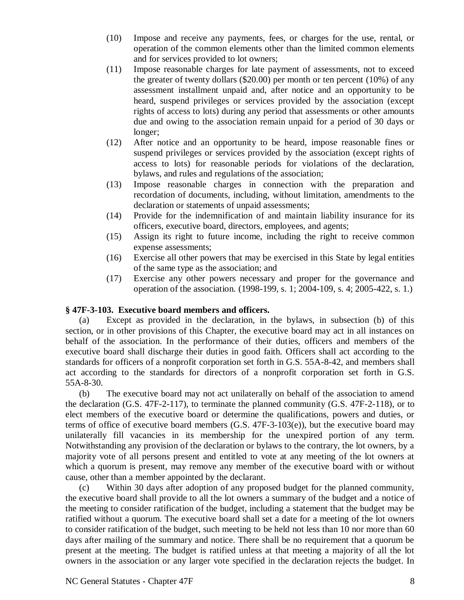- (10) Impose and receive any payments, fees, or charges for the use, rental, or operation of the common elements other than the limited common elements and for services provided to lot owners;
- (11) Impose reasonable charges for late payment of assessments, not to exceed the greater of twenty dollars (\$20.00) per month or ten percent (10%) of any assessment installment unpaid and, after notice and an opportunity to be heard, suspend privileges or services provided by the association (except rights of access to lots) during any period that assessments or other amounts due and owing to the association remain unpaid for a period of 30 days or longer;
- (12) After notice and an opportunity to be heard, impose reasonable fines or suspend privileges or services provided by the association (except rights of access to lots) for reasonable periods for violations of the declaration, bylaws, and rules and regulations of the association;
- (13) Impose reasonable charges in connection with the preparation and recordation of documents, including, without limitation, amendments to the declaration or statements of unpaid assessments;
- (14) Provide for the indemnification of and maintain liability insurance for its officers, executive board, directors, employees, and agents;
- (15) Assign its right to future income, including the right to receive common expense assessments;
- (16) Exercise all other powers that may be exercised in this State by legal entities of the same type as the association; and
- (17) Exercise any other powers necessary and proper for the governance and operation of the association. (1998-199, s. 1; 2004-109, s. 4; 2005-422, s. 1.)

# **§ 47F-3-103. Executive board members and officers.**

(a) Except as provided in the declaration, in the bylaws, in subsection (b) of this section, or in other provisions of this Chapter, the executive board may act in all instances on behalf of the association. In the performance of their duties, officers and members of the executive board shall discharge their duties in good faith. Officers shall act according to the standards for officers of a nonprofit corporation set forth in G.S. 55A-8-42, and members shall act according to the standards for directors of a nonprofit corporation set forth in G.S. 55A-8-30.

(b) The executive board may not act unilaterally on behalf of the association to amend the declaration (G.S. 47F-2-117), to terminate the planned community (G.S. 47F-2-118), or to elect members of the executive board or determine the qualifications, powers and duties, or terms of office of executive board members (G.S. 47F-3-103(e)), but the executive board may unilaterally fill vacancies in its membership for the unexpired portion of any term. Notwithstanding any provision of the declaration or bylaws to the contrary, the lot owners, by a majority vote of all persons present and entitled to vote at any meeting of the lot owners at which a quorum is present, may remove any member of the executive board with or without cause, other than a member appointed by the declarant.

(c) Within 30 days after adoption of any proposed budget for the planned community, the executive board shall provide to all the lot owners a summary of the budget and a notice of the meeting to consider ratification of the budget, including a statement that the budget may be ratified without a quorum. The executive board shall set a date for a meeting of the lot owners to consider ratification of the budget, such meeting to be held not less than 10 nor more than 60 days after mailing of the summary and notice. There shall be no requirement that a quorum be present at the meeting. The budget is ratified unless at that meeting a majority of all the lot owners in the association or any larger vote specified in the declaration rejects the budget. In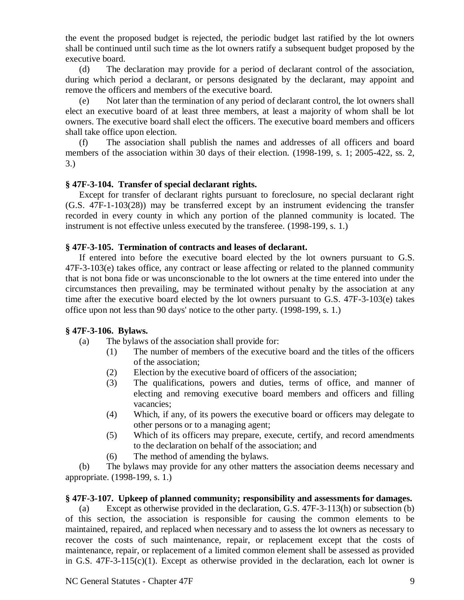the event the proposed budget is rejected, the periodic budget last ratified by the lot owners shall be continued until such time as the lot owners ratify a subsequent budget proposed by the executive board.

(d) The declaration may provide for a period of declarant control of the association, during which period a declarant, or persons designated by the declarant, may appoint and remove the officers and members of the executive board.

(e) Not later than the termination of any period of declarant control, the lot owners shall elect an executive board of at least three members, at least a majority of whom shall be lot owners. The executive board shall elect the officers. The executive board members and officers shall take office upon election.

(f) The association shall publish the names and addresses of all officers and board members of the association within 30 days of their election. (1998-199, s. 1; 2005-422, ss. 2, 3.)

## **§ 47F-3-104. Transfer of special declarant rights.**

Except for transfer of declarant rights pursuant to foreclosure, no special declarant right (G.S. 47F-1-103(28)) may be transferred except by an instrument evidencing the transfer recorded in every county in which any portion of the planned community is located. The instrument is not effective unless executed by the transferee. (1998-199, s. 1.)

## **§ 47F-3-105. Termination of contracts and leases of declarant.**

If entered into before the executive board elected by the lot owners pursuant to G.S. 47F-3-103(e) takes office, any contract or lease affecting or related to the planned community that is not bona fide or was unconscionable to the lot owners at the time entered into under the circumstances then prevailing, may be terminated without penalty by the association at any time after the executive board elected by the lot owners pursuant to G.S. 47F-3-103(e) takes office upon not less than 90 days' notice to the other party. (1998-199, s. 1.)

## **§ 47F-3-106. Bylaws.**

- (a) The bylaws of the association shall provide for:
	- (1) The number of members of the executive board and the titles of the officers of the association;
	- (2) Election by the executive board of officers of the association;
	- (3) The qualifications, powers and duties, terms of office, and manner of electing and removing executive board members and officers and filling vacancies;
	- (4) Which, if any, of its powers the executive board or officers may delegate to other persons or to a managing agent;
	- (5) Which of its officers may prepare, execute, certify, and record amendments to the declaration on behalf of the association; and
	- (6) The method of amending the bylaws.

(b) The bylaws may provide for any other matters the association deems necessary and appropriate. (1998-199, s. 1.)

## **§ 47F-3-107. Upkeep of planned community; responsibility and assessments for damages.**

(a) Except as otherwise provided in the declaration, G.S. 47F-3-113(h) or subsection (b) of this section, the association is responsible for causing the common elements to be maintained, repaired, and replaced when necessary and to assess the lot owners as necessary to recover the costs of such maintenance, repair, or replacement except that the costs of maintenance, repair, or replacement of a limited common element shall be assessed as provided in G.S. 47F-3-115(c)(1). Except as otherwise provided in the declaration, each lot owner is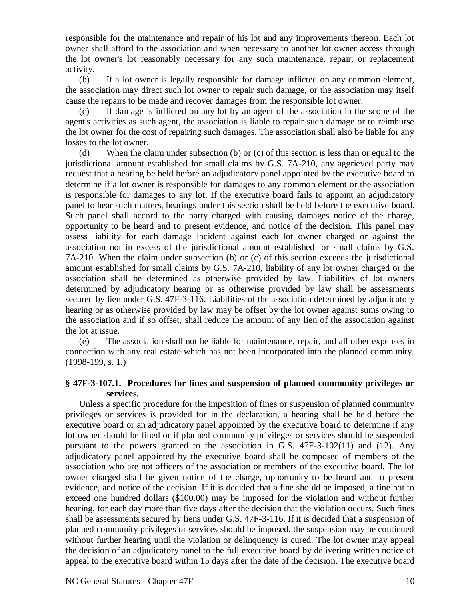responsible for the maintenance and repair of his lot and any improvements thereon. Each lot owner shall afford to the association and when necessary to another lot owner access through the lot owner's lot reasonably necessary for any such maintenance, repair, or replacement activity.

(b) If a lot owner is legally responsible for damage inflicted on any common element, the association may direct such lot owner to repair such damage, or the association may itself cause the repairs to be made and recover damages from the responsible lot owner.

(c) If damage is inflicted on any lot by an agent of the association in the scope of the agent's activities as such agent, the association is liable to repair such damage or to reimburse the lot owner for the cost of repairing such damages. The association shall also be liable for any losses to the lot owner.

(d) When the claim under subsection (b) or (c) of this section is less than or equal to the jurisdictional amount established for small claims by G.S. 7A-210, any aggrieved party may request that a hearing be held before an adjudicatory panel appointed by the executive board to determine if a lot owner is responsible for damages to any common element or the association is responsible for damages to any lot. If the executive board fails to appoint an adjudicatory panel to hear such matters, hearings under this section shall be held before the executive board. Such panel shall accord to the party charged with causing damages notice of the charge, opportunity to be heard and to present evidence, and notice of the decision. This panel may assess liability for each damage incident against each lot owner charged or against the association not in excess of the jurisdictional amount established for small claims by G.S. 7A-210. When the claim under subsection (b) or (c) of this section exceeds the jurisdictional amount established for small claims by G.S. 7A-210, liability of any lot owner charged or the association shall be determined as otherwise provided by law. Liabilities of lot owners determined by adjudicatory hearing or as otherwise provided by law shall be assessments secured by lien under G.S. 47F-3-116. Liabilities of the association determined by adjudicatory hearing or as otherwise provided by law may be offset by the lot owner against sums owing to the association and if so offset, shall reduce the amount of any lien of the association against the lot at issue.

(e) The association shall not be liable for maintenance, repair, and all other expenses in connection with any real estate which has not been incorporated into the planned community. (1998-199, s. 1.)

## **§ 47F-3-107.1. Procedures for fines and suspension of planned community privileges or services.**

Unless a specific procedure for the imposition of fines or suspension of planned community privileges or services is provided for in the declaration, a hearing shall be held before the executive board or an adjudicatory panel appointed by the executive board to determine if any lot owner should be fined or if planned community privileges or services should be suspended pursuant to the powers granted to the association in G.S. 47F-3-102(11) and (12). Any adjudicatory panel appointed by the executive board shall be composed of members of the association who are not officers of the association or members of the executive board. The lot owner charged shall be given notice of the charge, opportunity to be heard and to present evidence, and notice of the decision. If it is decided that a fine should be imposed, a fine not to exceed one hundred dollars (\$100.00) may be imposed for the violation and without further hearing, for each day more than five days after the decision that the violation occurs. Such fines shall be assessments secured by liens under G.S. 47F-3-116. If it is decided that a suspension of planned community privileges or services should be imposed, the suspension may be continued without further hearing until the violation or delinquency is cured. The lot owner may appeal the decision of an adjudicatory panel to the full executive board by delivering written notice of appeal to the executive board within 15 days after the date of the decision. The executive board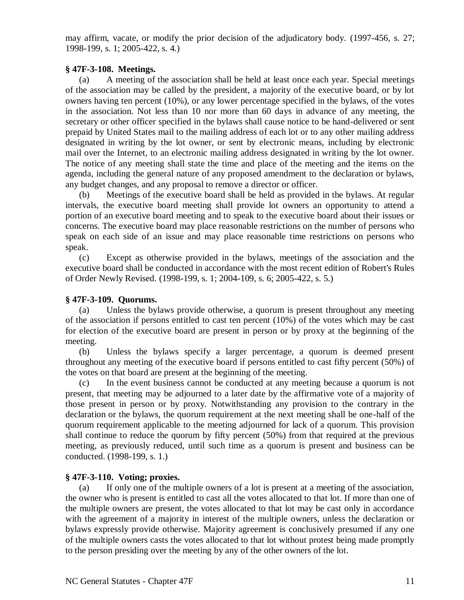may affirm, vacate, or modify the prior decision of the adjudicatory body. (1997-456, s. 27; 1998-199, s. 1; 2005-422, s. 4.)

## **§ 47F-3-108. Meetings.**

(a) A meeting of the association shall be held at least once each year. Special meetings of the association may be called by the president, a majority of the executive board, or by lot owners having ten percent (10%), or any lower percentage specified in the bylaws, of the votes in the association. Not less than 10 nor more than 60 days in advance of any meeting, the secretary or other officer specified in the bylaws shall cause notice to be hand-delivered or sent prepaid by United States mail to the mailing address of each lot or to any other mailing address designated in writing by the lot owner, or sent by electronic means, including by electronic mail over the Internet, to an electronic mailing address designated in writing by the lot owner. The notice of any meeting shall state the time and place of the meeting and the items on the agenda, including the general nature of any proposed amendment to the declaration or bylaws, any budget changes, and any proposal to remove a director or officer.

(b) Meetings of the executive board shall be held as provided in the bylaws. At regular intervals, the executive board meeting shall provide lot owners an opportunity to attend a portion of an executive board meeting and to speak to the executive board about their issues or concerns. The executive board may place reasonable restrictions on the number of persons who speak on each side of an issue and may place reasonable time restrictions on persons who speak.

(c) Except as otherwise provided in the bylaws, meetings of the association and the executive board shall be conducted in accordance with the most recent edition of Robert's Rules of Order Newly Revised. (1998-199, s. 1; 2004-109, s. 6; 2005-422, s. 5.)

## **§ 47F-3-109. Quorums.**

(a) Unless the bylaws provide otherwise, a quorum is present throughout any meeting of the association if persons entitled to cast ten percent (10%) of the votes which may be cast for election of the executive board are present in person or by proxy at the beginning of the meeting.

(b) Unless the bylaws specify a larger percentage, a quorum is deemed present throughout any meeting of the executive board if persons entitled to cast fifty percent (50%) of the votes on that board are present at the beginning of the meeting.

(c) In the event business cannot be conducted at any meeting because a quorum is not present, that meeting may be adjourned to a later date by the affirmative vote of a majority of those present in person or by proxy. Notwithstanding any provision to the contrary in the declaration or the bylaws, the quorum requirement at the next meeting shall be one-half of the quorum requirement applicable to the meeting adjourned for lack of a quorum. This provision shall continue to reduce the quorum by fifty percent (50%) from that required at the previous meeting, as previously reduced, until such time as a quorum is present and business can be conducted. (1998-199, s. 1.)

# **§ 47F-3-110. Voting; proxies.**

(a) If only one of the multiple owners of a lot is present at a meeting of the association, the owner who is present is entitled to cast all the votes allocated to that lot. If more than one of the multiple owners are present, the votes allocated to that lot may be cast only in accordance with the agreement of a majority in interest of the multiple owners, unless the declaration or bylaws expressly provide otherwise. Majority agreement is conclusively presumed if any one of the multiple owners casts the votes allocated to that lot without protest being made promptly to the person presiding over the meeting by any of the other owners of the lot.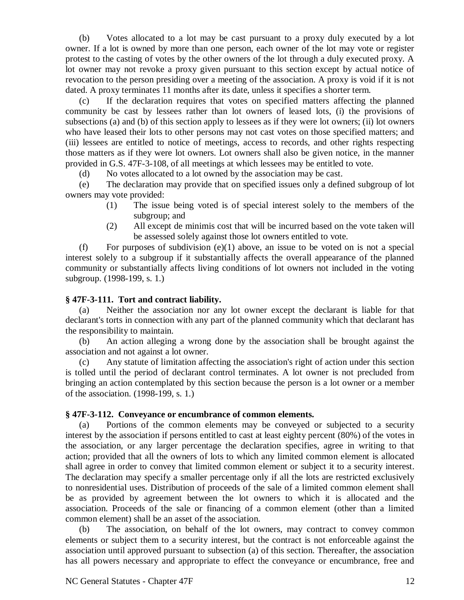(b) Votes allocated to a lot may be cast pursuant to a proxy duly executed by a lot owner. If a lot is owned by more than one person, each owner of the lot may vote or register protest to the casting of votes by the other owners of the lot through a duly executed proxy. A lot owner may not revoke a proxy given pursuant to this section except by actual notice of revocation to the person presiding over a meeting of the association. A proxy is void if it is not dated. A proxy terminates 11 months after its date, unless it specifies a shorter term.

(c) If the declaration requires that votes on specified matters affecting the planned community be cast by lessees rather than lot owners of leased lots, (i) the provisions of subsections (a) and (b) of this section apply to lessees as if they were lot owners; (ii) lot owners who have leased their lots to other persons may not cast votes on those specified matters; and (iii) lessees are entitled to notice of meetings, access to records, and other rights respecting those matters as if they were lot owners. Lot owners shall also be given notice, in the manner provided in G.S. 47F-3-108, of all meetings at which lessees may be entitled to vote.

(d) No votes allocated to a lot owned by the association may be cast.

(e) The declaration may provide that on specified issues only a defined subgroup of lot owners may vote provided:

- (1) The issue being voted is of special interest solely to the members of the subgroup; and
- (2) All except de minimis cost that will be incurred based on the vote taken will be assessed solely against those lot owners entitled to vote.

(f) For purposes of subdivision  $(e)(1)$  above, an issue to be voted on is not a special interest solely to a subgroup if it substantially affects the overall appearance of the planned community or substantially affects living conditions of lot owners not included in the voting subgroup. (1998-199, s. 1.)

### **§ 47F-3-111. Tort and contract liability.**

(a) Neither the association nor any lot owner except the declarant is liable for that declarant's torts in connection with any part of the planned community which that declarant has the responsibility to maintain.

(b) An action alleging a wrong done by the association shall be brought against the association and not against a lot owner.

(c) Any statute of limitation affecting the association's right of action under this section is tolled until the period of declarant control terminates. A lot owner is not precluded from bringing an action contemplated by this section because the person is a lot owner or a member of the association. (1998-199, s. 1.)

## **§ 47F-3-112. Conveyance or encumbrance of common elements.**

(a) Portions of the common elements may be conveyed or subjected to a security interest by the association if persons entitled to cast at least eighty percent (80%) of the votes in the association, or any larger percentage the declaration specifies, agree in writing to that action; provided that all the owners of lots to which any limited common element is allocated shall agree in order to convey that limited common element or subject it to a security interest. The declaration may specify a smaller percentage only if all the lots are restricted exclusively to nonresidential uses. Distribution of proceeds of the sale of a limited common element shall be as provided by agreement between the lot owners to which it is allocated and the association. Proceeds of the sale or financing of a common element (other than a limited common element) shall be an asset of the association.

(b) The association, on behalf of the lot owners, may contract to convey common elements or subject them to a security interest, but the contract is not enforceable against the association until approved pursuant to subsection (a) of this section. Thereafter, the association has all powers necessary and appropriate to effect the conveyance or encumbrance, free and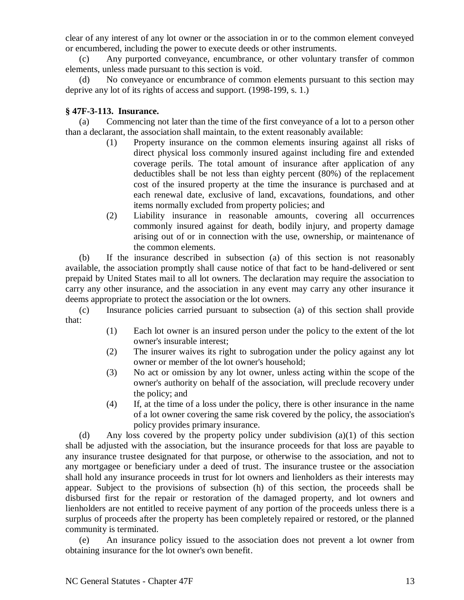clear of any interest of any lot owner or the association in or to the common element conveyed or encumbered, including the power to execute deeds or other instruments.

(c) Any purported conveyance, encumbrance, or other voluntary transfer of common elements, unless made pursuant to this section is void.

(d) No conveyance or encumbrance of common elements pursuant to this section may deprive any lot of its rights of access and support. (1998-199, s. 1.)

## **§ 47F-3-113. Insurance.**

(a) Commencing not later than the time of the first conveyance of a lot to a person other than a declarant, the association shall maintain, to the extent reasonably available:

- (1) Property insurance on the common elements insuring against all risks of direct physical loss commonly insured against including fire and extended coverage perils. The total amount of insurance after application of any deductibles shall be not less than eighty percent (80%) of the replacement cost of the insured property at the time the insurance is purchased and at each renewal date, exclusive of land, excavations, foundations, and other items normally excluded from property policies; and
- (2) Liability insurance in reasonable amounts, covering all occurrences commonly insured against for death, bodily injury, and property damage arising out of or in connection with the use, ownership, or maintenance of the common elements.

(b) If the insurance described in subsection (a) of this section is not reasonably available, the association promptly shall cause notice of that fact to be hand-delivered or sent prepaid by United States mail to all lot owners. The declaration may require the association to carry any other insurance, and the association in any event may carry any other insurance it deems appropriate to protect the association or the lot owners.

(c) Insurance policies carried pursuant to subsection (a) of this section shall provide that:

- (1) Each lot owner is an insured person under the policy to the extent of the lot owner's insurable interest;
- (2) The insurer waives its right to subrogation under the policy against any lot owner or member of the lot owner's household;
- (3) No act or omission by any lot owner, unless acting within the scope of the owner's authority on behalf of the association, will preclude recovery under the policy; and
- (4) If, at the time of a loss under the policy, there is other insurance in the name of a lot owner covering the same risk covered by the policy, the association's policy provides primary insurance.

(d) Any loss covered by the property policy under subdivision (a)(1) of this section shall be adjusted with the association, but the insurance proceeds for that loss are payable to any insurance trustee designated for that purpose, or otherwise to the association, and not to any mortgagee or beneficiary under a deed of trust. The insurance trustee or the association shall hold any insurance proceeds in trust for lot owners and lienholders as their interests may appear. Subject to the provisions of subsection (h) of this section, the proceeds shall be disbursed first for the repair or restoration of the damaged property, and lot owners and lienholders are not entitled to receive payment of any portion of the proceeds unless there is a surplus of proceeds after the property has been completely repaired or restored, or the planned community is terminated.

(e) An insurance policy issued to the association does not prevent a lot owner from obtaining insurance for the lot owner's own benefit.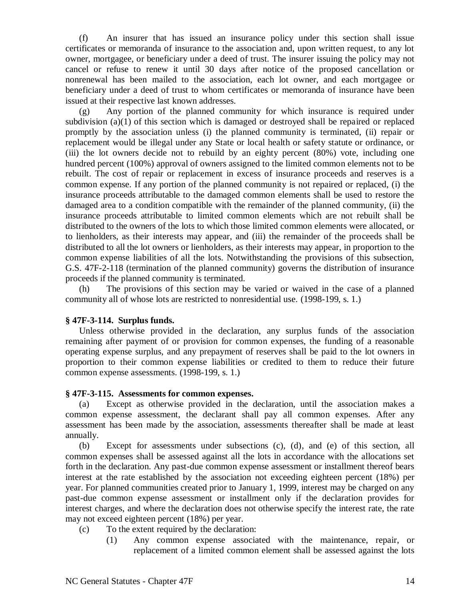(f) An insurer that has issued an insurance policy under this section shall issue certificates or memoranda of insurance to the association and, upon written request, to any lot owner, mortgagee, or beneficiary under a deed of trust. The insurer issuing the policy may not cancel or refuse to renew it until 30 days after notice of the proposed cancellation or nonrenewal has been mailed to the association, each lot owner, and each mortgagee or beneficiary under a deed of trust to whom certificates or memoranda of insurance have been issued at their respective last known addresses.

(g) Any portion of the planned community for which insurance is required under subdivision (a)(1) of this section which is damaged or destroyed shall be repaired or replaced promptly by the association unless (i) the planned community is terminated, (ii) repair or replacement would be illegal under any State or local health or safety statute or ordinance, or (iii) the lot owners decide not to rebuild by an eighty percent (80%) vote, including one hundred percent (100%) approval of owners assigned to the limited common elements not to be rebuilt. The cost of repair or replacement in excess of insurance proceeds and reserves is a common expense. If any portion of the planned community is not repaired or replaced, (i) the insurance proceeds attributable to the damaged common elements shall be used to restore the damaged area to a condition compatible with the remainder of the planned community, (ii) the insurance proceeds attributable to limited common elements which are not rebuilt shall be distributed to the owners of the lots to which those limited common elements were allocated, or to lienholders, as their interests may appear, and (iii) the remainder of the proceeds shall be distributed to all the lot owners or lienholders, as their interests may appear, in proportion to the common expense liabilities of all the lots. Notwithstanding the provisions of this subsection, G.S. 47F-2-118 (termination of the planned community) governs the distribution of insurance proceeds if the planned community is terminated.

(h) The provisions of this section may be varied or waived in the case of a planned community all of whose lots are restricted to nonresidential use. (1998-199, s. 1.)

### **§ 47F-3-114. Surplus funds.**

Unless otherwise provided in the declaration, any surplus funds of the association remaining after payment of or provision for common expenses, the funding of a reasonable operating expense surplus, and any prepayment of reserves shall be paid to the lot owners in proportion to their common expense liabilities or credited to them to reduce their future common expense assessments. (1998-199, s. 1.)

## **§ 47F-3-115. Assessments for common expenses.**

(a) Except as otherwise provided in the declaration, until the association makes a common expense assessment, the declarant shall pay all common expenses. After any assessment has been made by the association, assessments thereafter shall be made at least annually.

(b) Except for assessments under subsections (c), (d), and (e) of this section, all common expenses shall be assessed against all the lots in accordance with the allocations set forth in the declaration. Any past-due common expense assessment or installment thereof bears interest at the rate established by the association not exceeding eighteen percent (18%) per year. For planned communities created prior to January 1, 1999, interest may be charged on any past-due common expense assessment or installment only if the declaration provides for interest charges, and where the declaration does not otherwise specify the interest rate, the rate may not exceed eighteen percent (18%) per year.

- (c) To the extent required by the declaration:
	- (1) Any common expense associated with the maintenance, repair, or replacement of a limited common element shall be assessed against the lots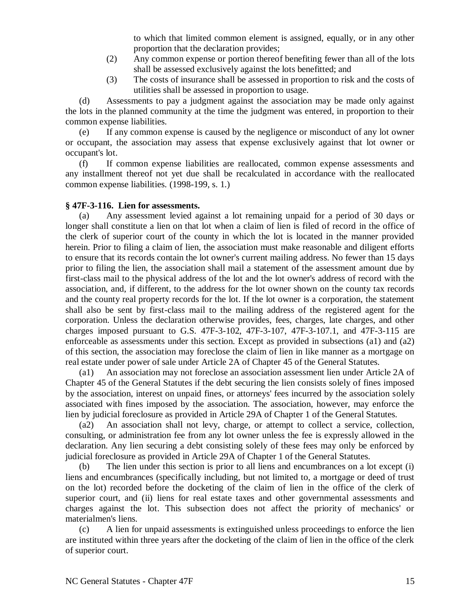to which that limited common element is assigned, equally, or in any other proportion that the declaration provides;

- (2) Any common expense or portion thereof benefiting fewer than all of the lots shall be assessed exclusively against the lots benefitted; and
- (3) The costs of insurance shall be assessed in proportion to risk and the costs of utilities shall be assessed in proportion to usage.

(d) Assessments to pay a judgment against the association may be made only against the lots in the planned community at the time the judgment was entered, in proportion to their common expense liabilities.

(e) If any common expense is caused by the negligence or misconduct of any lot owner or occupant, the association may assess that expense exclusively against that lot owner or occupant's lot.

(f) If common expense liabilities are reallocated, common expense assessments and any installment thereof not yet due shall be recalculated in accordance with the reallocated common expense liabilities. (1998-199, s. 1.)

## **§ 47F-3-116. Lien for assessments.**

(a) Any assessment levied against a lot remaining unpaid for a period of 30 days or longer shall constitute a lien on that lot when a claim of lien is filed of record in the office of the clerk of superior court of the county in which the lot is located in the manner provided herein. Prior to filing a claim of lien, the association must make reasonable and diligent efforts to ensure that its records contain the lot owner's current mailing address. No fewer than 15 days prior to filing the lien, the association shall mail a statement of the assessment amount due by first-class mail to the physical address of the lot and the lot owner's address of record with the association, and, if different, to the address for the lot owner shown on the county tax records and the county real property records for the lot. If the lot owner is a corporation, the statement shall also be sent by first-class mail to the mailing address of the registered agent for the corporation. Unless the declaration otherwise provides, fees, charges, late charges, and other charges imposed pursuant to G.S. 47F-3-102, 47F-3-107, 47F-3-107.1, and 47F-3-115 are enforceable as assessments under this section. Except as provided in subsections (a1) and (a2) of this section, the association may foreclose the claim of lien in like manner as a mortgage on real estate under power of sale under Article 2A of Chapter 45 of the General Statutes.

(a1) An association may not foreclose an association assessment lien under Article 2A of Chapter 45 of the General Statutes if the debt securing the lien consists solely of fines imposed by the association, interest on unpaid fines, or attorneys' fees incurred by the association solely associated with fines imposed by the association. The association, however, may enforce the lien by judicial foreclosure as provided in Article 29A of Chapter 1 of the General Statutes.

(a2) An association shall not levy, charge, or attempt to collect a service, collection, consulting, or administration fee from any lot owner unless the fee is expressly allowed in the declaration. Any lien securing a debt consisting solely of these fees may only be enforced by judicial foreclosure as provided in Article 29A of Chapter 1 of the General Statutes.

(b) The lien under this section is prior to all liens and encumbrances on a lot except (i) liens and encumbrances (specifically including, but not limited to, a mortgage or deed of trust on the lot) recorded before the docketing of the claim of lien in the office of the clerk of superior court, and (ii) liens for real estate taxes and other governmental assessments and charges against the lot. This subsection does not affect the priority of mechanics' or materialmen's liens.

(c) A lien for unpaid assessments is extinguished unless proceedings to enforce the lien are instituted within three years after the docketing of the claim of lien in the office of the clerk of superior court.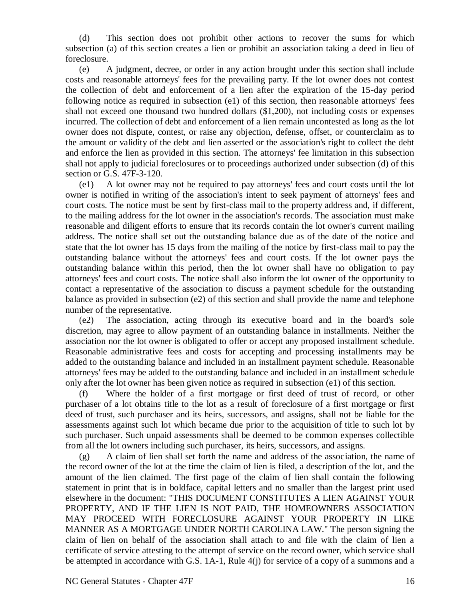(d) This section does not prohibit other actions to recover the sums for which subsection (a) of this section creates a lien or prohibit an association taking a deed in lieu of foreclosure.

(e) A judgment, decree, or order in any action brought under this section shall include costs and reasonable attorneys' fees for the prevailing party. If the lot owner does not contest the collection of debt and enforcement of a lien after the expiration of the 15-day period following notice as required in subsection (e1) of this section, then reasonable attorneys' fees shall not exceed one thousand two hundred dollars (\$1,200), not including costs or expenses incurred. The collection of debt and enforcement of a lien remain uncontested as long as the lot owner does not dispute, contest, or raise any objection, defense, offset, or counterclaim as to the amount or validity of the debt and lien asserted or the association's right to collect the debt and enforce the lien as provided in this section. The attorneys' fee limitation in this subsection shall not apply to judicial foreclosures or to proceedings authorized under subsection (d) of this section or G.S. 47F-3-120.

(e1) A lot owner may not be required to pay attorneys' fees and court costs until the lot owner is notified in writing of the association's intent to seek payment of attorneys' fees and court costs. The notice must be sent by first-class mail to the property address and, if different, to the mailing address for the lot owner in the association's records. The association must make reasonable and diligent efforts to ensure that its records contain the lot owner's current mailing address. The notice shall set out the outstanding balance due as of the date of the notice and state that the lot owner has 15 days from the mailing of the notice by first-class mail to pay the outstanding balance without the attorneys' fees and court costs. If the lot owner pays the outstanding balance within this period, then the lot owner shall have no obligation to pay attorneys' fees and court costs. The notice shall also inform the lot owner of the opportunity to contact a representative of the association to discuss a payment schedule for the outstanding balance as provided in subsection (e2) of this section and shall provide the name and telephone number of the representative.

(e2) The association, acting through its executive board and in the board's sole discretion, may agree to allow payment of an outstanding balance in installments. Neither the association nor the lot owner is obligated to offer or accept any proposed installment schedule. Reasonable administrative fees and costs for accepting and processing installments may be added to the outstanding balance and included in an installment payment schedule. Reasonable attorneys' fees may be added to the outstanding balance and included in an installment schedule only after the lot owner has been given notice as required in subsection (e1) of this section.

(f) Where the holder of a first mortgage or first deed of trust of record, or other purchaser of a lot obtains title to the lot as a result of foreclosure of a first mortgage or first deed of trust, such purchaser and its heirs, successors, and assigns, shall not be liable for the assessments against such lot which became due prior to the acquisition of title to such lot by such purchaser. Such unpaid assessments shall be deemed to be common expenses collectible from all the lot owners including such purchaser, its heirs, successors, and assigns.

(g) A claim of lien shall set forth the name and address of the association, the name of the record owner of the lot at the time the claim of lien is filed, a description of the lot, and the amount of the lien claimed. The first page of the claim of lien shall contain the following statement in print that is in boldface, capital letters and no smaller than the largest print used elsewhere in the document: "THIS DOCUMENT CONSTITUTES A LIEN AGAINST YOUR PROPERTY, AND IF THE LIEN IS NOT PAID, THE HOMEOWNERS ASSOCIATION MAY PROCEED WITH FORECLOSURE AGAINST YOUR PROPERTY IN LIKE MANNER AS A MORTGAGE UNDER NORTH CAROLINA LAW." The person signing the claim of lien on behalf of the association shall attach to and file with the claim of lien a certificate of service attesting to the attempt of service on the record owner, which service shall be attempted in accordance with G.S. 1A-1, Rule 4(j) for service of a copy of a summons and a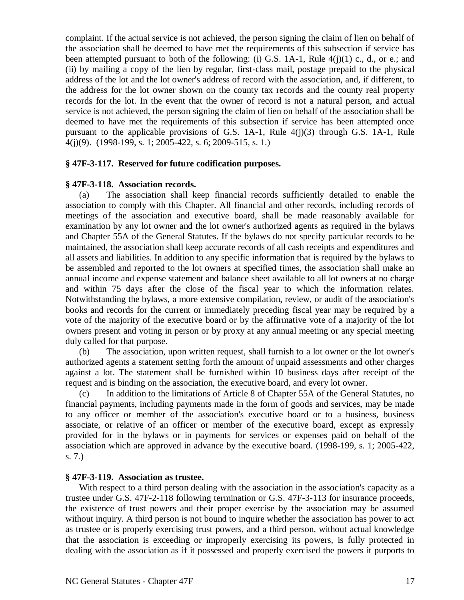complaint. If the actual service is not achieved, the person signing the claim of lien on behalf of the association shall be deemed to have met the requirements of this subsection if service has been attempted pursuant to both of the following: (i) G.S.  $1A-1$ , Rule  $4(j)(1)$  c., d., or e.; and (ii) by mailing a copy of the lien by regular, first-class mail, postage prepaid to the physical address of the lot and the lot owner's address of record with the association, and, if different, to the address for the lot owner shown on the county tax records and the county real property records for the lot. In the event that the owner of record is not a natural person, and actual service is not achieved, the person signing the claim of lien on behalf of the association shall be deemed to have met the requirements of this subsection if service has been attempted once pursuant to the applicable provisions of G.S. 1A-1, Rule 4(j)(3) through G.S. 1A-1, Rule 4(j)(9). (1998-199, s. 1; 2005-422, s. 6; 2009-515, s. 1.)

## **§ 47F-3-117. Reserved for future codification purposes.**

## **§ 47F-3-118. Association records.**

(a) The association shall keep financial records sufficiently detailed to enable the association to comply with this Chapter. All financial and other records, including records of meetings of the association and executive board, shall be made reasonably available for examination by any lot owner and the lot owner's authorized agents as required in the bylaws and Chapter 55A of the General Statutes. If the bylaws do not specify particular records to be maintained, the association shall keep accurate records of all cash receipts and expenditures and all assets and liabilities. In addition to any specific information that is required by the bylaws to be assembled and reported to the lot owners at specified times, the association shall make an annual income and expense statement and balance sheet available to all lot owners at no charge and within 75 days after the close of the fiscal year to which the information relates. Notwithstanding the bylaws, a more extensive compilation, review, or audit of the association's books and records for the current or immediately preceding fiscal year may be required by a vote of the majority of the executive board or by the affirmative vote of a majority of the lot owners present and voting in person or by proxy at any annual meeting or any special meeting duly called for that purpose.

(b) The association, upon written request, shall furnish to a lot owner or the lot owner's authorized agents a statement setting forth the amount of unpaid assessments and other charges against a lot. The statement shall be furnished within 10 business days after receipt of the request and is binding on the association, the executive board, and every lot owner.

(c) In addition to the limitations of Article 8 of Chapter 55A of the General Statutes, no financial payments, including payments made in the form of goods and services, may be made to any officer or member of the association's executive board or to a business, business associate, or relative of an officer or member of the executive board, except as expressly provided for in the bylaws or in payments for services or expenses paid on behalf of the association which are approved in advance by the executive board. (1998-199, s. 1; 2005-422, s. 7.)

### **§ 47F-3-119. Association as trustee.**

With respect to a third person dealing with the association in the association's capacity as a trustee under G.S. 47F-2-118 following termination or G.S. 47F-3-113 for insurance proceeds, the existence of trust powers and their proper exercise by the association may be assumed without inquiry. A third person is not bound to inquire whether the association has power to act as trustee or is properly exercising trust powers, and a third person, without actual knowledge that the association is exceeding or improperly exercising its powers, is fully protected in dealing with the association as if it possessed and properly exercised the powers it purports to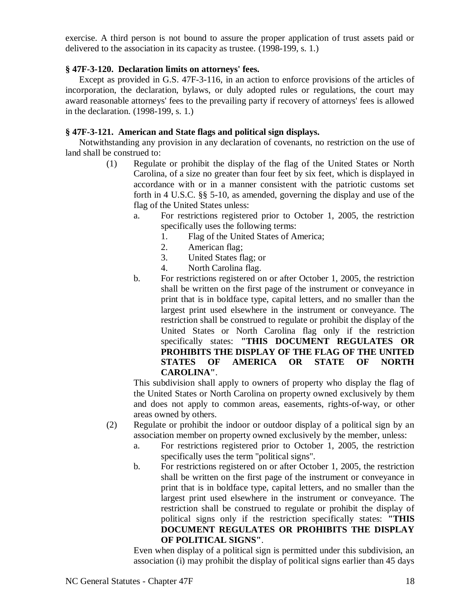exercise. A third person is not bound to assure the proper application of trust assets paid or delivered to the association in its capacity as trustee. (1998-199, s. 1.)

## **§ 47F-3-120. Declaration limits on attorneys' fees.**

Except as provided in G.S. 47F-3-116, in an action to enforce provisions of the articles of incorporation, the declaration, bylaws, or duly adopted rules or regulations, the court may award reasonable attorneys' fees to the prevailing party if recovery of attorneys' fees is allowed in the declaration. (1998-199, s. 1.)

# **§ 47F-3-121. American and State flags and political sign displays.**

Notwithstanding any provision in any declaration of covenants, no restriction on the use of land shall be construed to:

- (1) Regulate or prohibit the display of the flag of the United States or North Carolina, of a size no greater than four feet by six feet, which is displayed in accordance with or in a manner consistent with the patriotic customs set forth in 4 U.S.C. §§ 5-10, as amended, governing the display and use of the flag of the United States unless:
	- a. For restrictions registered prior to October 1, 2005, the restriction specifically uses the following terms:
		- 1. Flag of the United States of America;
		- 2. American flag;
		- 3. United States flag; or
		- 4. North Carolina flag.
	- b. For restrictions registered on or after October 1, 2005, the restriction shall be written on the first page of the instrument or conveyance in print that is in boldface type, capital letters, and no smaller than the largest print used elsewhere in the instrument or conveyance. The restriction shall be construed to regulate or prohibit the display of the United States or North Carolina flag only if the restriction specifically states: **"THIS DOCUMENT REGULATES OR PROHIBITS THE DISPLAY OF THE FLAG OF THE UNITED STATES OF AMERICA OR STATE OF NORTH CAROLINA"**.

This subdivision shall apply to owners of property who display the flag of the United States or North Carolina on property owned exclusively by them and does not apply to common areas, easements, rights-of-way, or other areas owned by others.

- (2) Regulate or prohibit the indoor or outdoor display of a political sign by an association member on property owned exclusively by the member, unless:
	- a. For restrictions registered prior to October 1, 2005, the restriction specifically uses the term "political signs".
	- b. For restrictions registered on or after October 1, 2005, the restriction shall be written on the first page of the instrument or conveyance in print that is in boldface type, capital letters, and no smaller than the largest print used elsewhere in the instrument or conveyance. The restriction shall be construed to regulate or prohibit the display of political signs only if the restriction specifically states: **"THIS DOCUMENT REGULATES OR PROHIBITS THE DISPLAY OF POLITICAL SIGNS"**.

Even when display of a political sign is permitted under this subdivision, an association (i) may prohibit the display of political signs earlier than 45 days